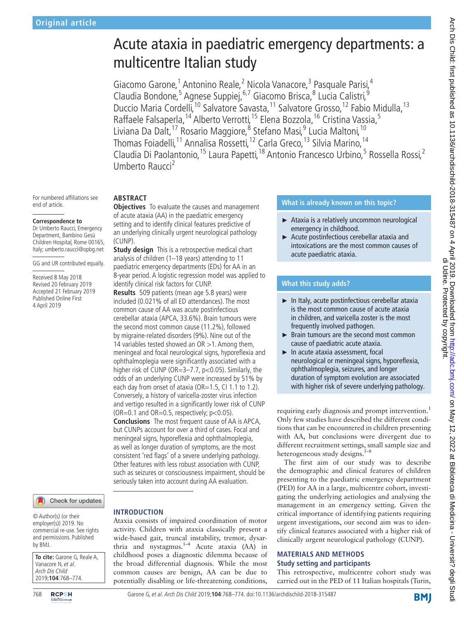# Acute ataxia in paediatric emergency departments: a multicentre Italian study

Giacomo Garone,<sup>1</sup> Antonino Reale,<sup>2</sup> Nicola Vanacore,<sup>3</sup> Pasquale Parisi,<sup>4</sup> Claudia Bondone,<sup>5</sup> Agnese Suppiej,<sup>6,7</sup> Giacomo Brisca,<sup>8</sup> Lucia Calistri,<sup>9</sup> Duccio Maria Cordelli,<sup>10</sup> Salvatore Savasta,<sup>11</sup> Salvatore Grosso,<sup>12</sup> Fabio Midulla,<sup>13</sup> Raffaele Falsaperla, <sup>14</sup> Alberto Verrotti, <sup>15</sup> Elena Bozzola, <sup>16</sup> Cristina Vassia, <sup>5</sup> Liviana Da Dalt,<sup>17</sup> Rosario Maggiore,<sup>8</sup> Stefano Masi,<sup>9</sup> Lucia Maltoni,<sup>10</sup> Thomas Foiadelli,<sup>11</sup> Annalisa Rossetti,<sup>12</sup> Carla Greco,<sup>13</sup> Silvia Marino,<sup>14</sup> Claudia Di Paolantonio, <sup>15</sup> Laura Papetti, <sup>18</sup> Antonio Francesco Urbino, <sup>5</sup> Rossella Rossi, <sup>2</sup> Umberto Raucci<sup>2</sup>

For numbered affiliations see end of article.

#### **Correspondence to**

Dr Umberto Raucci, Emergency Department, Bambino Gesù Children Hospital, Rome 00165, Italy; umberto.raucci@opbg.net

GG and UR contributed equally.

Received 8 May 2018 Revised 20 February 2019 Accepted 21 February 2019 Published Online First 4 April 2019

## Check for updates

© Author(s) (or their employer(s)) 2019. No commercial re-use. See rights and permissions. Published by BMJ.

| To cite: Garone G, Reale A,                                        |
|--------------------------------------------------------------------|
|                                                                    |
|                                                                    |
| Vanacore N, et al.<br>Arch Dis Child<br>2019; <b>104</b> :768–774. |

## **Abstract**

**Objectives** To evaluate the causes and management of acute ataxia (AA) in the paediatric emergency setting and to identify clinical features predictive of an underlying clinically urgent neurological pathology (CUNP).

**Study design** This is a retrospective medical chart analysis of children (1–18 years) attending to 11 paediatric emergency departments (EDs) for AA in an 8-year period. A logistic regression model was applied to identify clinical risk factors for CUNP.

**Results** 509 patients (mean age 5.8 years) were included (0.021% of all ED attendances). The most common cause of AA was acute postinfectious cerebellar ataxia (APCA, 33.6%). Brain tumours were the second most common cause (11.2%), followed by migraine-related disorders (9%). Nine out of the 14 variables tested showed an  $OR > 1$ . Among them, meningeal and focal neurological signs, hyporeflexia and ophthalmoplegia were significantly associated with a higher risk of CUNP (OR=3-7.7, p<0.05). Similarly, the odds of an underlying CUNP were increased by 51% by each day from onset of ataxia (OR=1.5, CI 1.1 to 1.2). Conversely, a history of varicella-zoster virus infection and vertigo resulted in a significantly lower risk of CUNP (OR=0.1 and OR=0.5, respectively;  $p < 0.05$ ). **Conclusions** The most frequent cause of AA is APCA, but CUNPs account for over a third of cases. Focal and meningeal signs, hyporeflexia and ophthalmoplegia, as well as longer duration of symptoms, are the most consistent 'red flags' of a severe underlying pathology. Other features with less robust association with CUNP, such as seizures or consciousness impairment, should be seriously taken into account during AA evaluation.

## **Introduction** Ataxia consists of impaired coordination of motor

activity. Children with ataxia classically present a wide-based gait, truncal instability, tremor, dysar-thria and nystagmus.<sup>[1–4](#page-5-0)</sup> Acute ataxia (AA) in childhood poses a diagnostic dilemma because of the broad differential diagnosis. While the most common causes are benign, AA can be due to potentially disabling or life-threatening conditions,

## **What is already known on this topic?**

- ► Ataxia is a relatively uncommon neurological emergency in childhood.
- Acute postinfectious cerebellar ataxia and intoxications are the most common causes of acute paediatric ataxia.

## **What this study adds?**

- ► In Italy, acute postinfectious cerebellar ataxia is the most common cause of acute ataxia in children, and varicella zoster is the most frequently involved pathogen.
- ► Brain tumours are the second most common cause of paediatric acute ataxia.
- ► In acute ataxia assessment, focal neurological or meningeal signs, hyporeflexia, ophthalmoplegia, seizures, and longer duration of symptom evolution are associated with higher risk of severe underlying pathology.

requiring early diagnosis and prompt intervention.<sup>[1](#page-5-0)</sup> Only few studies have described the different conditions that can be encountered in children presenting with AA, but conclusions were divergent due to different recruitment settings, small sample size and heterogeneous study designs.<sup>5</sup>

The first aim of our study was to describe the demographic and clinical features of children presenting to the paediatric emergency department (PED) for AA in a large, multicentre cohort, investigating the underlying aetiologies and analysing the management in an emergency setting. Given the critical importance of identifying patients requiring urgent investigations, our second aim was to identify clinical features associated with a higher risk of clinically urgent neurological pathology (CUNP).

## **Materials and methods Study setting and participants**

This retrospective, multicentre cohort study was carried out in the PED of 11 Italian hospitals (Turin,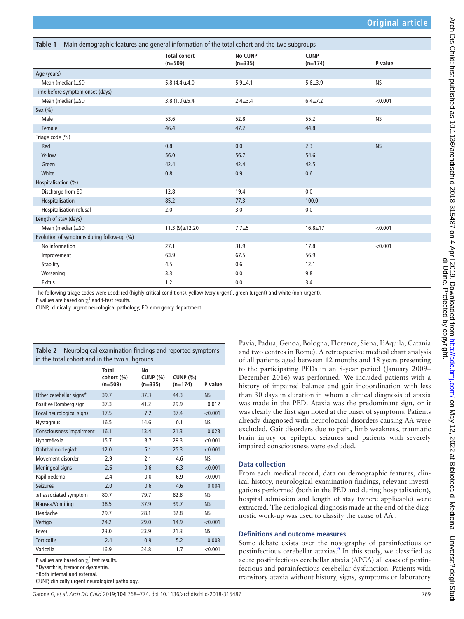<span id="page-1-0"></span>

| Main demographic features and general information of the total cohort and the two subgroups<br>Table 1 |                                  |                             |                          |           |  |  |  |
|--------------------------------------------------------------------------------------------------------|----------------------------------|-----------------------------|--------------------------|-----------|--|--|--|
|                                                                                                        | <b>Total cohort</b><br>$(n=509)$ | <b>No CUNP</b><br>$(n=335)$ | <b>CUNP</b><br>$(n=174)$ | P value   |  |  |  |
| Age (years)                                                                                            |                                  |                             |                          |           |  |  |  |
| Mean (median)±SD                                                                                       | 5.8 $(4.4) \pm 4.0$              | $5.9 + 4.1$                 | $5.6 + 3.9$              | <b>NS</b> |  |  |  |
| Time before symptom onset (days)                                                                       |                                  |                             |                          |           |  |  |  |
| Mean (median)±SD                                                                                       | $3.8(1.0) \pm 5.4$               | $2.4 \pm 3.4$               | $6.4 \pm 7.2$            | < 0.001   |  |  |  |
| Sex (%)                                                                                                |                                  |                             |                          |           |  |  |  |
| Male                                                                                                   | 53.6                             | 52.8                        | 55.2                     | <b>NS</b> |  |  |  |
| Female                                                                                                 | 46.4                             | 47.2                        | 44.8                     |           |  |  |  |
| Triage code (%)                                                                                        |                                  |                             |                          |           |  |  |  |
| Red                                                                                                    | 0.8                              | 0.0                         | 2.3                      | <b>NS</b> |  |  |  |
| Yellow                                                                                                 | 56.0                             | 56.7                        | 54.6                     |           |  |  |  |
| Green                                                                                                  | 42.4                             | 42.4                        | 42.5                     |           |  |  |  |
| White                                                                                                  | 0.8                              | 0.9                         | 0.6                      |           |  |  |  |
| Hospitalisation (%)                                                                                    |                                  |                             |                          |           |  |  |  |
| Discharge from ED                                                                                      | 12.8                             | 19.4                        | 0.0                      |           |  |  |  |
| Hospitalisation                                                                                        | 85.2                             | 77.3                        | 100.0                    |           |  |  |  |
| Hospitalisation refusal                                                                                | 2.0                              | 3.0                         | 0.0                      |           |  |  |  |
| Length of stay (days)                                                                                  |                                  |                             |                          |           |  |  |  |
| Mean (median)±SD                                                                                       | $11.3(9) \pm 12.20$              | $7.7 + 5$                   | $16.8 + 17$              | < 0.001   |  |  |  |
| Evolution of symptoms during follow-up (%)                                                             |                                  |                             |                          |           |  |  |  |
| No information                                                                                         | 27.1                             | 31.9                        | 17.8                     | < 0.001   |  |  |  |
| Improvement                                                                                            | 63.9                             | 67.5                        | 56.9                     |           |  |  |  |
| Stability                                                                                              | 4.5                              | 0.6                         | 12.1                     |           |  |  |  |
| Worsening                                                                                              | 3.3                              | 0.0                         | 9.8                      |           |  |  |  |
| Exitus                                                                                                 | 1.2                              | 0.0                         | 3.4                      |           |  |  |  |

The following triage codes were used: red (highly critical conditions), yellow (very urgent), green (urgent) and white (non-urgent).

P values are based on  $\chi^2$  and t-test results.

CUNP, clinically urgent neurological pathology; ED, emergency department.

<span id="page-1-1"></span>

| Neurological examination findings and reported symptoms<br>Table 2<br>in the total cohort and in the two subgroups |                                  |                               |                              |           |  |  |  |
|--------------------------------------------------------------------------------------------------------------------|----------------------------------|-------------------------------|------------------------------|-----------|--|--|--|
|                                                                                                                    | Total<br>cohort (%)<br>$(n=509)$ | Nο<br>CUNP $(%)$<br>$(n=335)$ | <b>CUNP (%)</b><br>$(n=174)$ | P value   |  |  |  |
| Other cerebellar signs*                                                                                            | 39.7                             | 37.3                          | 44.3                         | <b>NS</b> |  |  |  |
| Positive Romberg sign                                                                                              | 37.3                             | 41.2                          | 29.9                         | 0.012     |  |  |  |
| Focal neurological signs                                                                                           | 17.5                             | 7.2                           | 37.4                         | < 0.001   |  |  |  |
| <b>Nystagmus</b>                                                                                                   | 16.5                             | 14.6                          | 0.1                          | NS.       |  |  |  |
| Consciousness impairment                                                                                           | 16.1                             | 13.4                          | 21.3                         | 0.023     |  |  |  |
| Hyporeflexia                                                                                                       | 15.7                             | 8.7                           | 29.3                         | < 0.001   |  |  |  |
| Ophthalmoplegiat                                                                                                   | 12.0                             | 5.1                           | 25.3                         | < 0.001   |  |  |  |
| Movement disorder                                                                                                  | 2.9                              | 2.1                           | 4.6                          | <b>NS</b> |  |  |  |
| <b>Meningeal signs</b>                                                                                             | 2.6                              | 0.6                           | 6.3                          | < 0.001   |  |  |  |
| Papilloedema                                                                                                       | 2.4                              | 0.0                           | 6.9                          | < 0.001   |  |  |  |
| <b>Seizures</b>                                                                                                    | 2.0                              | 0.6                           | 4.6                          | 0.004     |  |  |  |
| $\geq$ 1 associated symptom                                                                                        | 80.7                             | 79.7                          | 82.8                         | <b>NS</b> |  |  |  |
| Nausea/Vomiting                                                                                                    | 38.5                             | 37.9                          | 39.7                         | <b>NS</b> |  |  |  |
| Headache                                                                                                           | 29.7                             | 28.1                          | 32.8                         | <b>NS</b> |  |  |  |
| Vertigo                                                                                                            | 24.2                             | 29.0                          | 14.9                         | < 0.001   |  |  |  |
| Fever                                                                                                              | 23.0                             | 23.9                          | 21.3                         | <b>NS</b> |  |  |  |
| <b>Torticollis</b>                                                                                                 | 2.4                              | 0.9                           | 5.2                          | 0.003     |  |  |  |
| Varicella                                                                                                          | 16.9                             | 24.8                          | 1.7                          | < 0.001   |  |  |  |

P values are based on  $\chi^2$  test results.

\*Dysarthria, tremor or dysmetria.

†Both internal and external.

CUNP, clinically urgent neurological pathology.

Pavia, Padua, Genoa, Bologna, Florence, Siena, L'Aquila, Catania and two centres in Rome). A retrospective medical chart analysis of all patients aged between 12 months and 18 years presenting to the participating PEDs in an 8-year period (January 2009– December 2016) was performed. We included patients with a history of impaired balance and gait incoordination with less than 30 days in duration in whom a clinical diagnosis of ataxia was made in the PED. Ataxia was the predominant sign, or it was clearly the first sign noted at the onset of symptoms. Patients already diagnosed with neurological disorders causing AA were excluded. Gait disorders due to pain, limb weakness, traumatic brain injury or epileptic seizures and patients with severely impaired consciousness were excluded.

## **Data collection**

From each medical record, data on demographic features, clinical history, neurological examination findings, relevant investigations performed (both in the PED and during hospitalisation), hospital admission and length of stay (where applicable) were extracted. The aetiological diagnosis made at the end of the diagnostic work-up was used to classify the cause of AA .

#### **Definitions and outcome measures**

Some debate exists over the nosography of parainfectious or postinfectious cerebellar ataxias.<sup>9</sup> In this study, we classified as acute postinfectious cerebellar ataxia (APCA) all cases of postinfectious and parainfectious cerebellar dysfunction. Patients with transitory ataxia without history, signs, symptoms or laboratory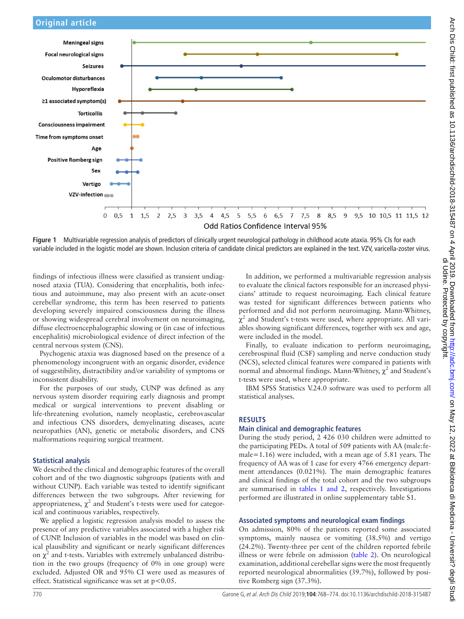





<span id="page-2-0"></span>**Figure 1** Multivariable regression analysis of predictors of clinically urgent neurological pathology in childhood acute ataxia. 95% CIs for each variable included in the logistic model are shown. Inclusion criteria of candidate clinical predictors are explained in the text. VZV, varicella-zoster virus.

findings of infectious illness were classified as transient undiagnosed ataxia (TUA). Considering that encephalitis, both infectious and autoimmune, may also present with an acute-onset cerebellar syndrome, this term has been reserved to patients developing severely impaired consciousness during the illness or showing widespread cerebral involvement on neuroimaging, diffuse electroencephalographic slowing or (in case of infectious encephalitis) microbiological evidence of direct infection of the central nervous system (CNS).

Psychogenic ataxia was diagnosed based on the presence of a phenomenology incongruent with an organic disorder, evidence of suggestibility, distractibility and/or variability of symptoms or inconsistent disability.

For the purposes of our study, CUNP was defined as any nervous system disorder requiring early diagnosis and prompt medical or surgical interventions to prevent disabling or life-threatening evolution, namely neoplastic, cerebrovascular and infectious CNS disorders, demyelinating diseases, acute neuropathies (AN), genetic or metabolic disorders, and CNS malformations requiring surgical treatment.

#### **Statistical analysis**

We described the clinical and demographic features of the overall cohort and of the two diagnostic subgroups (patients with and without CUNP). Each variable was tested to identify significant differences between the two subgroups. After reviewing for appropriateness,  $\chi^2$  and Student's t-tests were used for categorical and continuous variables, respectively.

We applied a logistic regression analysis model to assess the presence of any predictive variables associated with a higher risk of CUNP. Inclusion of variables in the model was based on clinical plausibility and significant or nearly significant differences on  $\chi^2$  and t-tests. Variables with extremely unbalanced distribution in the two groups (frequency of 0% in one group) were excluded. Adjusted OR and 95% CI were used as measures of effect. Statistical significance was set at  $p < 0.05$ .

In addition, we performed a multivariable regression analysis to evaluate the clinical factors responsible for an increased physicians' attitude to request neuroimaging. Each clinical feature was tested for significant differences between patients who performed and did not perform neuroimaging. Mann-Whitney,  $\chi^2$  and Student's t-tests were used, where appropriate. All variables showing significant differences, together with sex and age, were included in the model.

Finally, to evaluate indication to perform neuroimaging, cerebrospinal fluid (CSF) sampling and nerve conduction study (NCS), selected clinical features were compared in patients with normal and abnormal findings. Mann-Whitney,  $\chi^2$  and Student's t-tests were used, where appropriate.

IBM SPSS Statistics V.24.0 software was used to perform all statistical analyses.

#### **Results**

#### **Main clinical and demographic features**

During the study period, 2 426 030 children were admitted to the participating PEDs. A total of 509 patients with AA (male:female=1.16) were included, with a mean age of 5.81 years. The frequency of AA was of 1 case for every 4766 emergency department attendances (0.021%). The main demographic features and clinical findings of the total cohort and the two subgroups are summarised in tables [1 and 2,](#page-1-0) respectively. Investigations performed are illustrated in online [supplementary table S1.](https://dx.doi.org/10.1136/archdischild-2018-315487)

#### **Associated symptoms and neurological exam findings**

On admission, 80% of the patients reported some associated symptoms, mainly nausea or vomiting (38.5%) and vertigo (24.2%). Twenty-three per cent of the children reported febrile illness or were febrile on admission ([table](#page-1-1) 2). On neurological examination, additional cerebellar signs were the most frequently reported neurological abnormalities (39.7%), followed by positive Romberg sign (37.3%).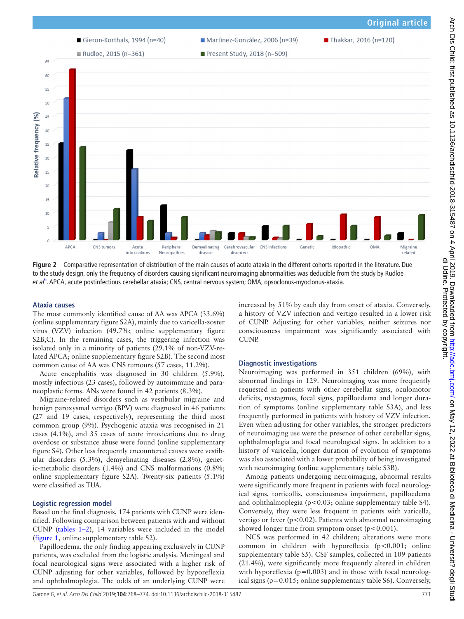

<span id="page-3-0"></span>**Figure 2** Comparative representation of distribution of the main causes of acute ataxia in the different cohorts reported in the literature. Due to the study design, only the frequency of disorders causing significant neuroimaging abnormalities was deducible from the study by Rudloe e*t al<sup>[6](#page-6-1)</sup>.* APCA, acute postinfectious cerebellar ataxia; CNS, central nervous system; OMA, opsoclonus-myoclonus-ataxia.

#### **Ataxia causes**

The most commonly identified cause of AA was APCA (33.6%) (online [supplementary figure S2A\),](https://dx.doi.org/10.1136/archdischild-2018-315487) mainly due to varicella-zoster virus (VZV) infection (49.7%; online [supplementary figure](https://dx.doi.org/10.1136/archdischild-2018-315487)  S2B, C). In the remaining cases, the triggering infection was isolated only in a minority of patients (29.1% of non-VZV-related APCA; online [supplementary figure S2B](https://dx.doi.org/10.1136/archdischild-2018-315487)). The second most common cause of AA was CNS tumours (57 cases, 11.2%).

Acute encephalitis was diagnosed in 30 children (5.9%), mostly infectious (23 cases), followed by autoimmune and paraneoplastic forms. ANs were found in 42 patients (8.3%).

Migraine-related disorders such as vestibular migraine and benign paroxysmal vertigo (BPV) were diagnosed in 46 patients (27 and 19 cases, respectively), representing the third most common group (9%). Psychogenic ataxia was recognised in 21 cases (4.1%), and 35 cases of acute intoxications due to drug overdose or substance abuse were found (online [supplementary](https://dx.doi.org/10.1136/archdischild-2018-315487)  [figure S4](https://dx.doi.org/10.1136/archdischild-2018-315487)). Other less frequently encountered causes were vestibular disorders (5.3%), demyelinating diseases (2.8%), genetic-metabolic disorders (1.4%) and CNS malformations (0.8%; online [supplementary figure S2A\)](https://dx.doi.org/10.1136/archdischild-2018-315487). Twenty-six patients (5.1%) were classified as TUA.

#### **Logistic regression model**

Based on the final diagnosis, 174 patients with CUNP were identified. Following comparison between patients with and without CUNP [\(tables](#page-1-0) 1–2), 14 variables were included in the model ([figure](#page-2-0) 1, online [supplementary table S2](https://dx.doi.org/10.1136/archdischild-2018-315487)).

Papilloedema, the only finding appearing exclusively in CUNP patients, was excluded from the logistic analysis. Meningeal and focal neurological signs were associated with a higher risk of CUNP adjusting for other variables, followed by hyporeflexia and ophthalmoplegia. The odds of an underlying CUNP were increased by 51% by each day from onset of ataxia. Conversely, a history of VZV infection and vertigo resulted in a lower risk of CUNP. Adjusting for other variables, neither seizures nor consciousness impairment was significantly associated with **CUNP** 

#### **Diagnostic investigations**

Neuroimaging was performed in 351 children (69%), with abnormal findings in 129. Neuroimaging was more frequently requested in patients with other cerebellar signs, oculomotor deficits, nystagmus, focal signs, papilloedema and longer duration of symptoms (online [supplementary table S3A\)](https://dx.doi.org/10.1136/archdischild-2018-315487), and less frequently performed in patients with history of VZV infection. Even when adjusting for other variables, the stronger predictors of neuroimaging use were the presence of other cerebellar signs, ophthalmoplegia and focal neurological signs. In addition to a history of varicella, longer duration of evolution of symptoms was also associated with a lower probability of being investigated with neuroimaging (online [supplementary table S3B\)](https://dx.doi.org/10.1136/archdischild-2018-315487).

Among patients undergoing neuroimaging, abnormal results were significantly more frequent in patients with focal neurological signs, torticollis, consciousness impairment, papilloedema and ophthalmoplegia (p<0.03; online [supplementary table S4\)](https://dx.doi.org/10.1136/archdischild-2018-315487). Conversely, they were less frequent in patients with varicella, vertigo or fever ( $p < 0.02$ ). Patients with abnormal neuroimaging showed longer time from symptom onset  $(p<0.001)$ .

NCS was performed in 42 children; alterations were more common in children with hyporeflexia (p<0.001; online [supplementary table S5\)](https://dx.doi.org/10.1136/archdischild-2018-315487). CSF samples, collected in 109 patients (21.4%), were significantly more frequently altered in children with hyporeflexia ( $p=0.003$ ) and in those with focal neurological signs (p=0.015; online [supplementary table S6](https://dx.doi.org/10.1136/archdischild-2018-315487)). Conversely,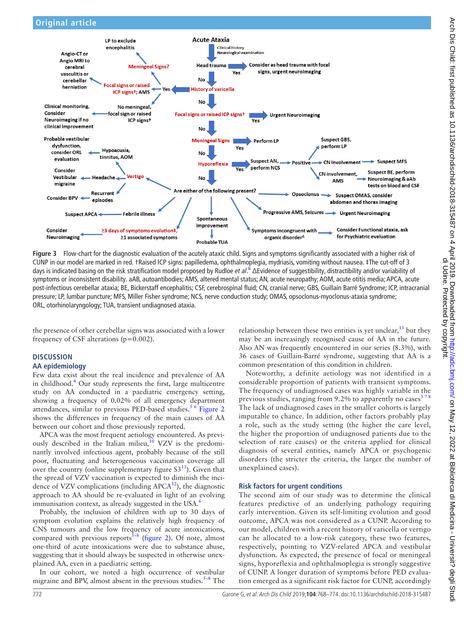

<span id="page-4-0"></span>**Figure 3** Flow-chart for the diagnostic evaluation of the acutely ataxic child. Signs and symptoms significantly associated with a higher risk of CUNP in our model are marked in red. †Raised ICP signs: papilledema, ophthalmoplegia, mydriasis, vomiting without nausea. ‡The cut-off of 3 days is indicated basing on the risk stratification model proposed by Rudloe *et al.*<sup>[6](#page-6-1)</sup> ΔEvidence of suggestibility, distractibility and/or variability of symptoms or inconsistent disability. aAB, autoantibodies; AMS, altered mental status; AN, acute neuropathy; AOM, acute otitis media; APCA, acute post-infectious cerebellar ataxia; BE, Bickerstaff encephalitis; CSF, cerebrospinal fluid; CN, cranial nerve; GBS, Guillain Barré Syndrome; ICP, intracranial pressure; LP, lumbar puncture; MFS, Miller Fisher syndrome; NCS, nerve conduction study; OMAS, opsoclonus-myoclonus-ataxia syndrome; ORL, otorhinolaryngology; TUA, transient undiagnosed ataxia.

the presence of other cerebellar signs was associated with a lower frequency of CSF alterations (p=0.002).

#### **Discussion AA epidemiology**

Few data exist about the real incidence and prevalence of AA in childhood.[4](#page-5-2) Our study represents the first, large multicentre study on AA conducted in a paediatric emergency setting, showing a frequency of 0.02% of all emergency department attendances, similar to previous PED-based studies.<sup>[5 6](#page-5-1)</sup> [Figure](#page-3-0) 2 shows the differences in frequency of the main causes of AA between our cohort and those previously reported.

APCA was the most frequent aetiology encountered. As previously described in the Italian milieu,  $\frac{10}{10}$  VZV is the predominantly involved infectious agent, probably because of the still poor, fluctuating and heterogeneous vaccination coverage all over the country (online supplementary figure  $S3<sup>11</sup>$ ). Given that the spread of VZV vaccination is expected to diminish the incidence of VZV complications (including  $APCA<sup>12</sup>$ ), the diagnostic approach to AA should be re-evaluated in light of an evolving immunisation context, as already suggested in the USA. $<sup>6</sup>$ </sup>

Probably, the inclusion of children with up to 30 days of symptom evolution explains the relatively high frequency of CNS tumours and the low frequency of acute intoxications, compared with previous reports<sup> $5-8$ </sup> [\(figure](#page-3-0) 2). Of note, almost one-third of acute intoxications were due to substance abuse, suggesting that it should always be suspected in otherwise unexplained AA, even in a paediatric setting.

In our cohort, we noted a high occurrence of vestibular migraine and BPV, almost absent in the previous studies. $5-8$  The relationship between these two entities is yet unclear,  $\frac{13}{13}$  but they may be an increasingly recognised cause of AA in the future. Also AN was frequently encountered in our series (8.3%), with 36 cases of Guillain-Barré syndrome, suggesting that AA is a common presentation of this condition in children.

Noteworthy, a definite aetiology was not identified in a considerable proportion of patients with transient symptoms. The frequency of undiagnosed cases was highly variable in the previous studies, ranging from 9.2% to apparently no cases $578$ The lack of undiagnosed cases in the smaller cohorts is largely imputable to chance. In addition, other factors probably play a role, such as the study setting (the higher the care level, the higher the proportion of undiagnosed patients due to the selection of rare causes) or the criteria applied for clinical diagnosis of several entities, namely APCA or psychogenic disorders (the stricter the criteria, the larger the number of unexplained cases).

## **Risk factors for urgent conditions**

The second aim of our study was to determine the clinical features predictive of an underlying pathology requiring early intervention. Given its self-limiting evolution and good outcome, APCA was not considered as a CUNP. According to our model, children with a recent history of varicella or vertigo can be allocated to a low-risk category, these two features, respectively, pointing to VZV-related APCA and vestibular dysfunction. As expected, the presence of focal or meningeal signs, hyporeflexia and ophthalmoplegia is strongly suggestive of CUNP. A longer duration of symptoms before PED evaluation emerged as a significant risk factor for CUNP, accordingly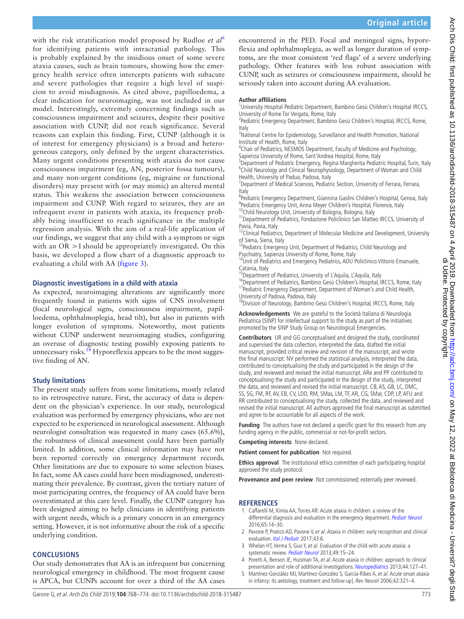with the risk stratification model proposed by Rudloe *et al*[6](#page-6-1) for identifying patients with intracranial pathology. This is probably explained by the insidious onset of some severe ataxia causes, such as brain tumours, showing how the emergency health service often intercepts patients with subacute and severe pathologies that require a high level of suspicion to avoid misdiagnosis. As cited above, papilloedema, a clear indication for neuroimaging, was not included in our model. Interestingly, extremely concerning findings such as consciousness impairment and seizures, despite their positive association with CUNP, did not reach significance. Several reasons can explain this finding. First, CUNP (although it is of interest for emergency physicians) is a broad and heterogeneous category, only defined by the urgent characteristics. Many urgent conditions presenting with ataxia do not cause consciousness impairment (eg, AN, posterior fossa tumours), and many non-urgent conditions (eg, migraine or functional disorders) may present with (or may mimic) an altered mental status. This weakens the association between consciousness impairment and CUNP. With regard to seizures, they are an infrequent event in patients with ataxia, its frequency probably being insufficient to reach significance in the multiple regression analysis. With the aim of a real-life application of our findings, we suggest that any child with a symptom or sign with an OR >1 should be appropriately investigated. On this basis, we developed a flow chart of a diagnostic approach to evaluating a child with AA ([figure](#page-4-0) 3).

### **Diagnostic investigations in a child with ataxia**

As expected, neuroimaging alterations are significantly more frequently found in patients with signs of CNS involvement (focal neurological signs, consciousness impairment, papilloedema, ophthalmoplegia, head tilt), but also in patients with longer evolution of symptoms. Noteworthy, most patients without CUNP underwent neuroimaging studies, configuring an overuse of diagnostic testing possibly exposing patients to unnecessary risks.<sup>14</sup> Hyporeflexia appears to be the most suggestive finding of AN.

## **Study limitations**

The present study suffers from some limitations, mostly related to its retrospective nature. First, the accuracy of data is dependent on the physician's experience. In our study, neurological evaluation was performed by emergency physicians, who are not expected to be experienced in neurological assessment. Although neurologist consultation was requested in many cases (65.6%), the robustness of clinical assessment could have been partially limited. In addition, some clinical information may have not been reported correctly on emergency department records. Other limitations are due to exposure to some selection biases. In fact, some AA cases could have been misdiagnosed, underestimating their prevalence. By contrast, given the tertiary nature of most participating centres, the frequency of AA could have been overestimated at this care level. Finally, the CUNP category has been designed aiming to help clinicians in identifying patients with urgent needs, which is a primary concern in an emergency setting. However, it is not informative about the risk of a specific underlying condition.

## **Conclusions**

Our study demonstrates that AA is an infrequent but concerning neurological emergency in childhood. The most frequent cause is APCA, but CUNPs account for over a third of the AA cases

encountered in the PED. Focal and meningeal signs, hyporeflexia and ophthalmoplegia, as well as longer duration of symptoms, are the most consistent 'red flags' of a severe underlying pathology. Other features with less robust association with CUNP, such as seizures or consciousness impairment, should be seriously taken into account during AA evaluation.

#### **Author affiliations**

<sup>1</sup>University Hospital Pediatric Department, Bambino Gesù Children's Hospital IRCCS, University of Rome Tor Vergata, Rome, Italy

<sup>2</sup> Pediatric Emergency Department, Bambino Gesù Children's Hospital, IRCCS, Rome, Italy

<sup>3</sup>National Centre for Epidemiology, Surveillance and Health Promotion, National Institute of Health, Rome, Italy

<sup>4</sup>Chair of Pediatrics, NESMOS Department, Faculty of Medicine and Psychology, Sapienza University of Rome, Sant'Andrea Hospital, Rome, Italy

<sup>5</sup>Department of Pediatric Emergency, Regina Margherita Pediatric Hospital, Turin, Italy <sup>6</sup>Child Neurology and Clinical Neurophysiology, Department of Woman and Child Health, University of Padua, Padova, Italy

<sup>7</sup>Department of Medical Sciences, Pediatric Section, University of Ferrara, Ferrara, Italy

<sup>8</sup> Pediatric Emergency Department, Giannina Gaslini Children's Hospital, Genoa, Italy <sup>9</sup> Pediatric Emergency Unit, Anna Meyer Children's Hospital, Florence, Italy

<sup>10</sup>Child Neurology Unit, University of Bologna, Bologna, Italy

<sup>11</sup> Department of Pediatrics, Fondazione Policlinico San Matteo IRCCS, University of Pavia, Pavia, Italy

 $12$ Clinical Pediatrics, Department of Molecular Medicine and Development, University of Siena, Siena, Italy

<sup>13</sup> Pediatric Emergency Unit, Department of Pediatrics, Child Neurology and Psychiatry, Sapienza University of Rome, Rome, Italy

<sup>14</sup>Unit of Pediatrics and Emergency Pediatrics, AOU Policlinico Vittorio Emanuele, Catania, Italy

<sup>15</sup>Department of Pediatrics, University of L'Aquila, L'Aquila, Italy

<sup>16</sup>Department of Pediatrics, Bambino Gesù Children's Hospital, IRCCS, Rome, Italy <sup>17</sup> Pediatric Emergency Department, Department of Woman's and Child Health, University of Padova, Padova, Italy

<sup>18</sup>Division of Neurology, Bambino Gesù Children's Hospital, IRCCS, Rome, Italy

**Acknowledgements** We are grateful to the Società Italiana di Neurologia Pediatrica (SINP) for intellectual support to the study as part of the initiatives promoted by the SINP Study Group on Neurological Emergencies.

**Contributors** UR and GG conceptualised and designed the study, coordinated and supervised the data collection, interpreted the data, drafted the initial manuscript, provided critical review and revision of the manuscript, and wrote the final manuscript. NV performed the statistical analysis, interpreted the data, contributed to conceptualising the study and participated in the design of the study, and reviewed and revised the initial manuscript. ARe and PP contributed to conceptualising the study and participated in the design of the study, interpreted the data, and reviewed and revised the initial manuscript. CB, AS, GB, LC, DMC, SS, SG, FM, RF, AV, EB, CV, LDD, RM, SMas, LM, TF, AR, CG, SMar, CDP, LP, AFU and RR contributed to conceptualising the study, collected the data, and reviewed and revised the initial manuscript. All authors approved the final manuscript as submitted and agree to be accountable for all aspects of the work.

**Funding** The authors have not declared a specific grant for this research from any funding agency in the public, commercial or not-for-profit sectors.

**Competing interests** None declared.

**Patient consent for publication** Not required.

**Ethics approval** The institutional ethics committee of each participating hospital approved the study protocol.

**Provenance and peer review** Not commissioned; externally peer reviewed.

#### **References**

- <span id="page-5-0"></span>1 Caffarelli M, Kimia AA, Torres AR. Acute ataxia in children: a review of the differential diagnosis and evaluation in the emergency department. [Pediatr Neurol](http://dx.doi.org/10.1016/j.pediatrneurol.2016.08.025) 2016;65:14–30.
- 2 Pavone P, Praticò AD, Pavone V, et al. Ataxia in children: early recognition and clinical evaluation. *[Ital J Pediatr](http://dx.doi.org/10.1186/s13052-016-0325-9)* 2017;43:6.
- 3 Whelan HT, Verma S, Guo Y, et al. Evaluation of the child with acute ataxia: a systematic review. [Pediatr Neurol](http://dx.doi.org/10.1016/j.pediatrneurol.2012.12.005) 2013;49:15-24.
- <span id="page-5-2"></span>4 Poretti A, Benson JE, Huisman TA, et al. Acute ataxia in children: approach to clinical presentation and role of additional investigations. [Neuropediatrics](http://dx.doi.org/10.1055/s-0032-1329909) 2013;44:127-41.
- <span id="page-5-1"></span>Martínez-González MJ, Martínez-González S, García-Ribes A, et al. Acute onset ataxia in infancy: its aetiology, treatment and follow-up]. Rev Neurol 2006;42:321–4.